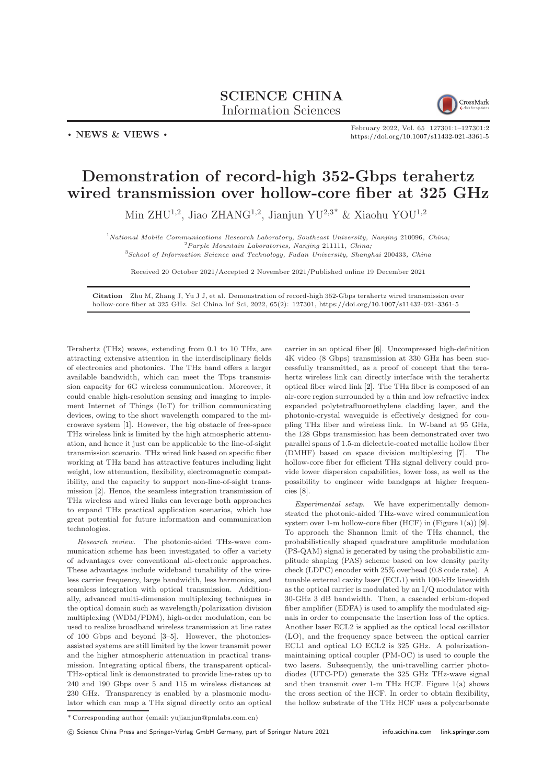## SCIENCE CHINA Information Sciences



. NEWS & VIEWS .

February 2022, Vol. 65 127301:1–127301[:2](#page-1-0) <https://doi.org/10.1007/s11432-021-3361-5>

## Demonstration of record-high 352-Gbps terahertz wired transmission over hollow-core fiber at 325 GHz

Min ZHU<sup>1,2</sup>, Jiao ZHANG<sup>1,2</sup>, Jianjun YU<sup>2,3\*</sup> & Xiaohu YOU<sup>1,2</sup>

 $1$ <sup>N</sup>ational Mobile Communications Research Laboratory, Southeast University, Nanjing 210096, China;  ${}^{2}P$ urple Mountain Laboratories, Nanjing 211111, China;

<sup>3</sup>School of Information Science and Technology, Fudan University, Shanghai 200433, China

Received 20 October 2021/Accepted 2 November 2021/Published online 19 December 2021

Citation Zhu M, Zhang J, Yu J J, et al. Demonstration of record-high 352-Gbps terahertz wired transmission over hollow-core fiber at 325 GHz. Sci China Inf Sci, 2022, 65(2): 127301, <https://doi.org/10.1007/s11432-021-3361-5>

Terahertz (THz) waves, extending from 0.1 to 10 THz, are attracting extensive attention in the interdisciplinary fields of electronics and photonics. The THz band offers a larger available bandwidth, which can meet the Tbps transmission capacity for 6G wireless communication. Moreover, it could enable high-resolution sensing and imaging to implement Internet of Things (IoT) for trillion communicating devices, owing to the short wavelength compared to the microwave system [\[1\]](#page-1-1). However, the big obstacle of free-space THz wireless link is limited by the high atmospheric attenuation, and hence it just can be applicable to the line-of-sight transmission scenario. THz wired link based on specific fiber working at THz band has attractive features including light weight, low attenuation, flexibility, electromagnetic compatibility, and the capacity to support non-line-of-sight transmission [\[2\]](#page-1-2). Hence, the seamless integration transmission of THz wireless and wired links can leverage both approaches to expand THz practical application scenarios, which has great potential for future information and communication technologies.

Research review. The photonic-aided THz-wave communication scheme has been investigated to offer a variety of advantages over conventional all-electronic approaches. These advantages include wideband tunability of the wireless carrier frequency, large bandwidth, less harmonics, and seamless integration with optical transmission. Additionally, advanced multi-dimension multiplexing techniques in the optical domain such as wavelength/polarization division multiplexing (WDM/PDM), high-order modulation, can be used to realize broadband wireless transmission at line rates of 100 Gbps and beyond [\[3–](#page-1-3)[5\]](#page-1-4). However, the photonicsassisted systems are still limited by the lower transmit power and the higher atmospheric attenuation in practical transmission. Integrating optical fibers, the transparent optical-THz-optical link is demonstrated to provide line-rates up to 240 and 190 Gbps over 5 and 115 m wireless distances at 230 GHz. Transparency is enabled by a plasmonic modulator which can map a THz signal directly onto an optical

carrier in an optical fiber [\[6\]](#page-1-5). Uncompressed high-definition 4K video (8 Gbps) transmission at 330 GHz has been successfully transmitted, as a proof of concept that the terahertz wireless link can directly interface with the terahertz optical fiber wired link [\[2\]](#page-1-2). The THz fiber is composed of an air-core region surrounded by a thin and low refractive index expanded polytetrafluoroethylene cladding layer, and the photonic-crystal waveguide is effectively designed for coupling THz fiber and wireless link. In W-band at 95 GHz, the 128 Gbps transmission has been demonstrated over two parallel spans of 1.5-m dielectric-coated metallic hollow fiber (DMHF) based on space division multiplexing [\[7\]](#page-1-6). The hollow-core fiber for efficient THz signal delivery could provide lower dispersion capabilities, lower loss, as well as the possibility to engineer wide bandgaps at higher frequencies [\[8\]](#page-1-7).

Experimental setup. We have experimentally demonstrated the photonic-aided THz-wave wired communication system over 1-m hollow-core fiber (HCF) in (Figure  $1(a)$ ) [\[9\]](#page-1-8). To approach the Shannon limit of the THz channel, the probabilistically shaped quadrature amplitude modulation (PS-QAM) signal is generated by using the probabilistic amplitude shaping (PAS) scheme based on low density parity check (LDPC) encoder with 25% overhead (0.8 code rate). A tunable external cavity laser (ECL1) with 100-kHz linewidth as the optical carrier is modulated by an I/Q modulator with 30-GHz 3 dB bandwidth. Then, a cascaded erbium-doped fiber amplifier (EDFA) is used to amplify the modulated signals in order to compensate the insertion loss of the optics. Another laser ECL2 is applied as the optical local oscillator (LO), and the frequency space between the optical carrier ECL1 and optical LO ECL2 is 325 GHz. A polarizationmaintaining optical coupler (PM-OC) is used to couple the two lasers. Subsequently, the uni-travelling carrier photodiodes (UTC-PD) generate the 325 GHz THz-wave signal and then transmit over 1-m THz HCF. Figure  $1(a)$  shows the cross section of the HCF. In order to obtain flexibility, the hollow substrate of the THz HCF uses a polycarbonate

c Science China Press and Springer-Verlag GmbH Germany, part of Springer Nature 2021 <info.scichina.com><link.springer.com>

<sup>\*</sup> Corresponding author (email: yujianjun@pmlabs.com.cn)